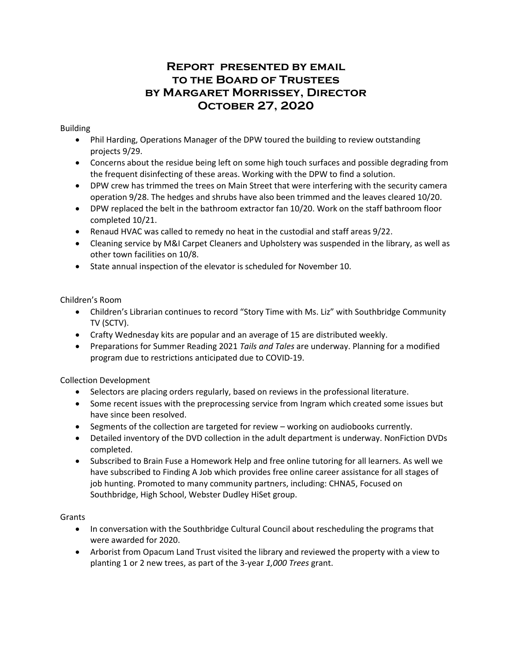# **Report presented by email to the Board of Trustees by Margaret Morrissey, Director October 27, 2020**

#### Building

- Phil Harding, Operations Manager of the DPW toured the building to review outstanding projects 9/29.
- Concerns about the residue being left on some high touch surfaces and possible degrading from the frequent disinfecting of these areas. Working with the DPW to find a solution.
- DPW crew has trimmed the trees on Main Street that were interfering with the security camera operation 9/28. The hedges and shrubs have also been trimmed and the leaves cleared 10/20.
- DPW replaced the belt in the bathroom extractor fan 10/20. Work on the staff bathroom floor completed 10/21.
- Renaud HVAC was called to remedy no heat in the custodial and staff areas 9/22.
- Cleaning service by M&I Carpet Cleaners and Upholstery was suspended in the library, as well as other town facilities on 10/8.
- State annual inspection of the elevator is scheduled for November 10.

Children's Room

- Children's Librarian continues to record "Story Time with Ms. Liz" with Southbridge Community TV (SCTV).
- Crafty Wednesday kits are popular and an average of 15 are distributed weekly.
- Preparations for Summer Reading 2021 *Tails and Tales* are underway. Planning for a modified program due to restrictions anticipated due to COVID-19.

Collection Development

- Selectors are placing orders regularly, based on reviews in the professional literature.
- Some recent issues with the preprocessing service from Ingram which created some issues but have since been resolved.
- Segments of the collection are targeted for review working on audiobooks currently.
- Detailed inventory of the DVD collection in the adult department is underway. NonFiction DVDs completed.
- Subscribed to Brain Fuse a Homework Help and free online tutoring for all learners. As well we have subscribed to Finding A Job which provides free online career assistance for all stages of job hunting. Promoted to many community partners, including: CHNA5, Focused on Southbridge, High School, Webster Dudley HiSet group.

Grants

- In conversation with the Southbridge Cultural Council about rescheduling the programs that were awarded for 2020.
- Arborist from Opacum Land Trust visited the library and reviewed the property with a view to planting 1 or 2 new trees, as part of the 3-year *1,000 Trees* grant.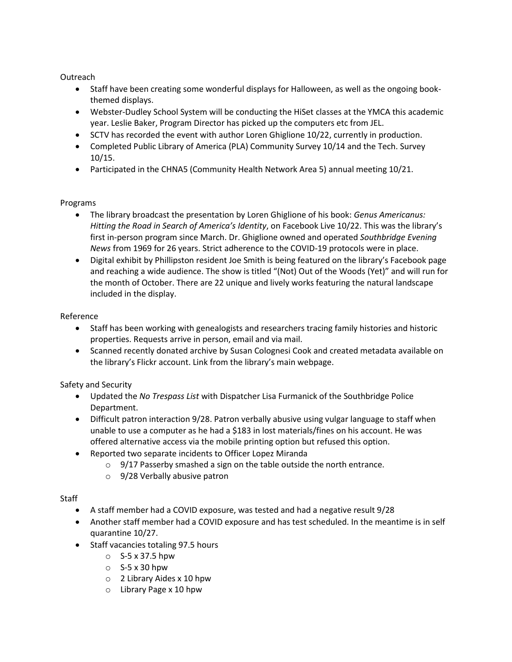Outreach

- Staff have been creating some wonderful displays for Halloween, as well as the ongoing bookthemed displays.
- Webster-Dudley School System will be conducting the HiSet classes at the YMCA this academic year. Leslie Baker, Program Director has picked up the computers etc from JEL.
- SCTV has recorded the event with author Loren Ghiglione 10/22, currently in production.
- Completed Public Library of America (PLA) Community Survey 10/14 and the Tech. Survey 10/15.
- Participated in the CHNA5 (Community Health Network Area 5) annual meeting 10/21.

### Programs

- The library broadcast the presentation by Loren Ghiglione of his book: *Genus Americanus: Hitting the Road in Search of America's Identity*, on Facebook Live 10/22. This was the library's first in-person program since March. Dr. Ghiglione owned and operated *Southbridge Evening News* from 1969 for 26 years. Strict adherence to the COVID-19 protocols were in place.
- Digital exhibit by Phillipston resident Joe Smith is being featured on the library's Facebook page and reaching a wide audience. The show is titled "(Not) Out of the Woods (Yet)" and will run for the month of October. There are 22 unique and lively works featuring the natural landscape included in the display.

### Reference

- Staff has been working with genealogists and researchers tracing family histories and historic properties. Requests arrive in person, email and via mail.
- Scanned recently donated archive by Susan Colognesi Cook and created metadata available on the library's Flickr account. Link from the library's main webpage.

Safety and Security

- Updated the *No Trespass List* with Dispatcher Lisa Furmanick of the Southbridge Police Department.
- Difficult patron interaction 9/28. Patron verbally abusive using vulgar language to staff when unable to use a computer as he had a \$183 in lost materials/fines on his account. He was offered alternative access via the mobile printing option but refused this option.
- Reported two separate incidents to Officer Lopez Miranda
	- o 9/17 Passerby smashed a sign on the table outside the north entrance.
	- $\circ$  9/28 Verbally abusive patron

## Staff

- A staff member had a COVID exposure, was tested and had a negative result 9/28
- Another staff member had a COVID exposure and has test scheduled. In the meantime is in self quarantine 10/27.
- Staff vacancies totaling 97.5 hours
	- o S-5 x 37.5 hpw
	- $\circ$  S-5 x 30 hpw
	- o 2 Library Aides x 10 hpw
	- o Library Page x 10 hpw